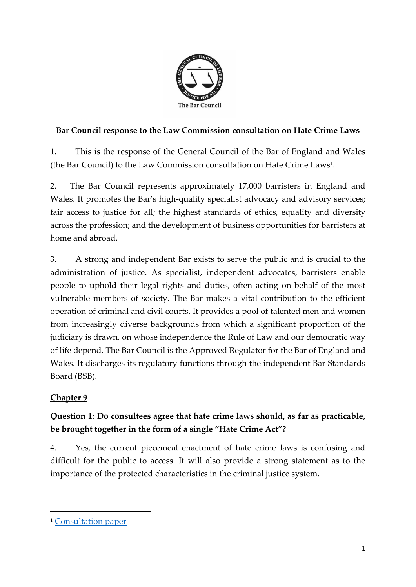

### **Bar Council response to the Law Commission consultation on Hate Crime Laws**

1. This is the response of the General Council of the Bar of England and Wales (the Bar Council) to the Law Commission consultation on Hate Crime Laws<sup>1</sup> .

2. The Bar Council represents approximately 17,000 barristers in England and Wales. It promotes the Bar's high-quality specialist advocacy and advisory services; fair access to justice for all; the highest standards of ethics, equality and diversity across the profession; and the development of business opportunities for barristers at home and abroad.

3. A strong and independent Bar exists to serve the public and is crucial to the administration of justice. As specialist, independent advocates, barristers enable people to uphold their legal rights and duties, often acting on behalf of the most vulnerable members of society. The Bar makes a vital contribution to the efficient operation of criminal and civil courts. It provides a pool of talented men and women from increasingly diverse backgrounds from which a significant proportion of the judiciary is drawn, on whose independence the Rule of Law and our democratic way of life depend. The Bar Council is the Approved Regulator for the Bar of England and Wales. It discharges its regulatory functions through the independent Bar Standards Board (BSB).

### **Chapter 9**

### **Question 1: Do consultees agree that hate crime laws should, as far as practicable, be brought together in the form of a single "Hate Crime Act"?**

4. Yes, the current piecemeal enactment of hate crime laws is confusing and difficult for the public to access. It will also provide a strong statement as to the importance of the protected characteristics in the criminal justice system.

<sup>&</sup>lt;sup>1</sup> [Consultation paper](https://s3-eu-west-2.amazonaws.com/lawcom-prod-storage-11jsxou24uy7q/uploads/2020/10/Hate-crime-final-report.pdf)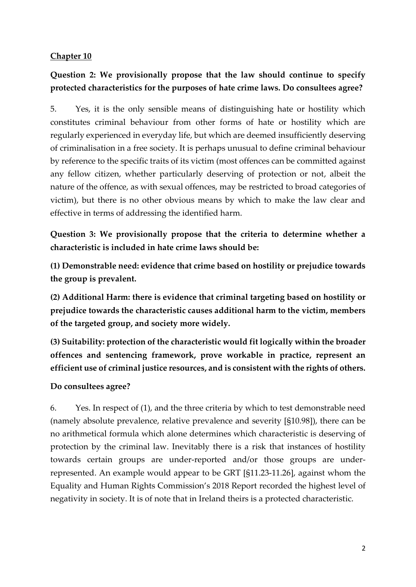### **Chapter 10**

### **Question 2: We provisionally propose that the law should continue to specify protected characteristics for the purposes of hate crime laws. Do consultees agree?**

5. Yes, it is the only sensible means of distinguishing hate or hostility which constitutes criminal behaviour from other forms of hate or hostility which are regularly experienced in everyday life, but which are deemed insufficiently deserving of criminalisation in a free society. It is perhaps unusual to define criminal behaviour by reference to the specific traits of its victim (most offences can be committed against any fellow citizen, whether particularly deserving of protection or not, albeit the nature of the offence, as with sexual offences, may be restricted to broad categories of victim), but there is no other obvious means by which to make the law clear and effective in terms of addressing the identified harm.

**Question 3: We provisionally propose that the criteria to determine whether a characteristic is included in hate crime laws should be:** 

**(1) Demonstrable need: evidence that crime based on hostility or prejudice towards the group is prevalent.** 

**(2) Additional Harm: there is evidence that criminal targeting based on hostility or prejudice towards the characteristic causes additional harm to the victim, members of the targeted group, and society more widely.** 

**(3) Suitability: protection of the characteristic would fit logically within the broader offences and sentencing framework, prove workable in practice, represent an efficient use of criminal justice resources, and is consistent with the rights of others.**

### **Do consultees agree?**

6. Yes. In respect of (1), and the three criteria by which to test demonstrable need (namely absolute prevalence, relative prevalence and severity [§10.98]), there can be no arithmetical formula which alone determines which characteristic is deserving of protection by the criminal law. Inevitably there is a risk that instances of hostility towards certain groups are under-reported and/or those groups are underrepresented. An example would appear to be GRT [§11.23-11.26], against whom the Equality and Human Rights Commission's 2018 Report recorded the highest level of negativity in society. It is of note that in Ireland theirs is a protected characteristic.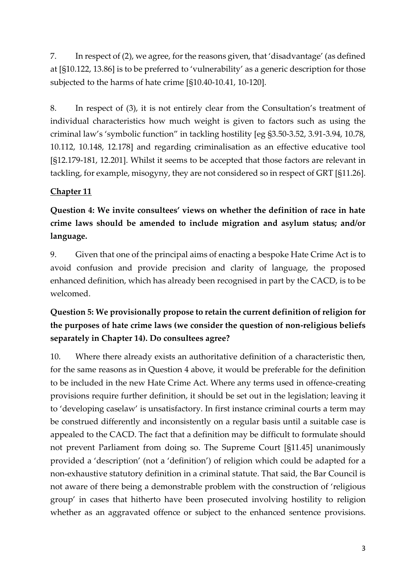7. In respect of (2), we agree, for the reasons given, that 'disadvantage' (as defined at [§10.122, 13.86] is to be preferred to 'vulnerability' as a generic description for those subjected to the harms of hate crime [§10.40-10.41, 10-120].

8. In respect of (3), it is not entirely clear from the Consultation's treatment of individual characteristics how much weight is given to factors such as using the criminal law's 'symbolic function" in tackling hostility [eg §3.50-3.52, 3.91-3.94, 10.78, 10.112, 10.148, 12.178] and regarding criminalisation as an effective educative tool [§12.179-181, 12.201]. Whilst it seems to be accepted that those factors are relevant in tackling, for example, misogyny, they are not considered so in respect of GRT [§11.26].

### **Chapter 11**

**Question 4: We invite consultees' views on whether the definition of race in hate crime laws should be amended to include migration and asylum status; and/or language.**

9. Given that one of the principal aims of enacting a bespoke Hate Crime Act is to avoid confusion and provide precision and clarity of language, the proposed enhanced definition, which has already been recognised in part by the CACD, is to be welcomed.

## **Question 5: We provisionally propose to retain the current definition of religion for the purposes of hate crime laws (we consider the question of non-religious beliefs separately in Chapter 14). Do consultees agree?**

10. Where there already exists an authoritative definition of a characteristic then, for the same reasons as in Question 4 above, it would be preferable for the definition to be included in the new Hate Crime Act. Where any terms used in offence-creating provisions require further definition, it should be set out in the legislation; leaving it to 'developing caselaw' is unsatisfactory. In first instance criminal courts a term may be construed differently and inconsistently on a regular basis until a suitable case is appealed to the CACD. The fact that a definition may be difficult to formulate should not prevent Parliament from doing so. The Supreme Court [§11.45] unanimously provided a 'description' (not a 'definition') of religion which could be adapted for a non-exhaustive statutory definition in a criminal statute. That said, the Bar Council is not aware of there being a demonstrable problem with the construction of 'religious group' in cases that hitherto have been prosecuted involving hostility to religion whether as an aggravated offence or subject to the enhanced sentence provisions.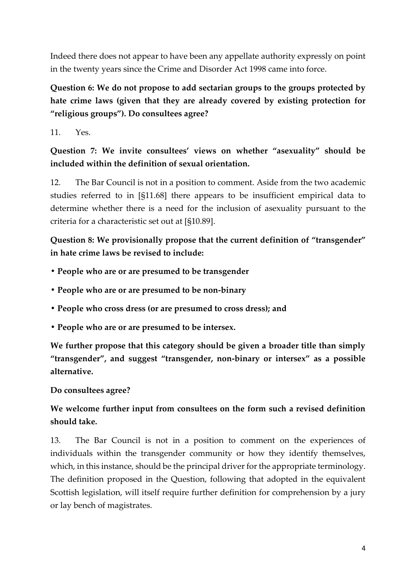Indeed there does not appear to have been any appellate authority expressly on point in the twenty years since the Crime and Disorder Act 1998 came into force.

# **Question 6: We do not propose to add sectarian groups to the groups protected by hate crime laws (given that they are already covered by existing protection for "religious groups"). Do consultees agree?**

 $11$  Yes

### **Question 7: We invite consultees' views on whether "asexuality" should be included within the definition of sexual orientation.**

12. The Bar Council is not in a position to comment. Aside from the two academic studies referred to in [§11.68] there appears to be insufficient empirical data to determine whether there is a need for the inclusion of asexuality pursuant to the criteria for a characteristic set out at [§10.89].

**Question 8: We provisionally propose that the current definition of "transgender" in hate crime laws be revised to include:** 

- **People who are or are presumed to be transgender**
- **People who are or are presumed to be non-binary**
- **People who cross dress (or are presumed to cross dress); and**
- **People who are or are presumed to be intersex.**

**We further propose that this category should be given a broader title than simply "transgender", and suggest "transgender, non-binary or intersex" as a possible alternative.** 

**Do consultees agree?**

### **We welcome further input from consultees on the form such a revised definition should take.**

13. The Bar Council is not in a position to comment on the experiences of individuals within the transgender community or how they identify themselves, which, in this instance, should be the principal driver for the appropriate terminology. The definition proposed in the Question, following that adopted in the equivalent Scottish legislation, will itself require further definition for comprehension by a jury or lay bench of magistrates.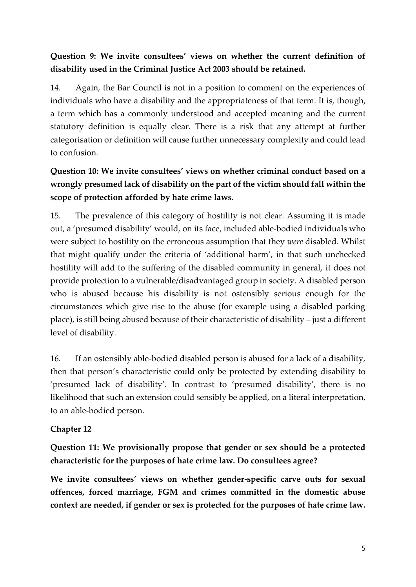## **Question 9: We invite consultees' views on whether the current definition of disability used in the Criminal Justice Act 2003 should be retained.**

14. Again, the Bar Council is not in a position to comment on the experiences of individuals who have a disability and the appropriateness of that term. It is, though, a term which has a commonly understood and accepted meaning and the current statutory definition is equally clear. There is a risk that any attempt at further categorisation or definition will cause further unnecessary complexity and could lead to confusion.

# **Question 10: We invite consultees' views on whether criminal conduct based on a wrongly presumed lack of disability on the part of the victim should fall within the scope of protection afforded by hate crime laws.**

15. The prevalence of this category of hostility is not clear. Assuming it is made out, a 'presumed disability' would, on its face, included able-bodied individuals who were subject to hostility on the erroneous assumption that they *were* disabled. Whilst that might qualify under the criteria of 'additional harm', in that such unchecked hostility will add to the suffering of the disabled community in general, it does not provide protection to a vulnerable/disadvantaged group in society. A disabled person who is abused because his disability is not ostensibly serious enough for the circumstances which give rise to the abuse (for example using a disabled parking place), is still being abused because of their characteristic of disability – just a different level of disability.

16. If an ostensibly able-bodied disabled person is abused for a lack of a disability, then that person's characteristic could only be protected by extending disability to 'presumed lack of disability'. In contrast to 'presumed disability', there is no likelihood that such an extension could sensibly be applied, on a literal interpretation, to an able-bodied person.

### **Chapter 12**

**Question 11: We provisionally propose that gender or sex should be a protected characteristic for the purposes of hate crime law. Do consultees agree?** 

**We invite consultees' views on whether gender-specific carve outs for sexual offences, forced marriage, FGM and crimes committed in the domestic abuse context are needed, if gender or sex is protected for the purposes of hate crime law.**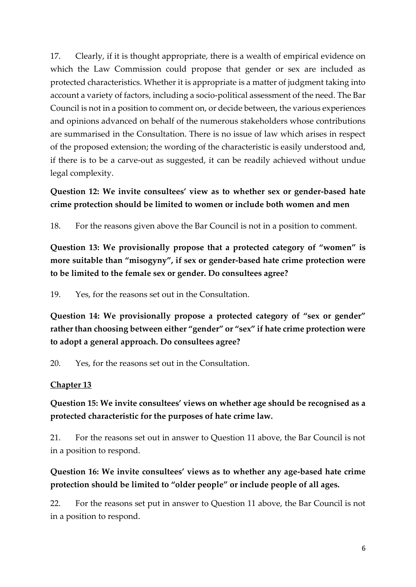17. Clearly, if it is thought appropriate, there is a wealth of empirical evidence on which the Law Commission could propose that gender or sex are included as protected characteristics. Whether it is appropriate is a matter of judgment taking into account a variety of factors, including a socio-political assessment of the need. The Bar Council is not in a position to comment on, or decide between, the various experiences and opinions advanced on behalf of the numerous stakeholders whose contributions are summarised in the Consultation. There is no issue of law which arises in respect of the proposed extension; the wording of the characteristic is easily understood and, if there is to be a carve-out as suggested, it can be readily achieved without undue legal complexity.

### **Question 12: We invite consultees' view as to whether sex or gender-based hate crime protection should be limited to women or include both women and men**

18. For the reasons given above the Bar Council is not in a position to comment.

**Question 13: We provisionally propose that a protected category of "women" is more suitable than "misogyny", if sex or gender-based hate crime protection were to be limited to the female sex or gender. Do consultees agree?**

19. Yes, for the reasons set out in the Consultation.

**Question 14: We provisionally propose a protected category of "sex or gender" rather than choosing between either "gender" or "sex" if hate crime protection were to adopt a general approach. Do consultees agree?** 

20. Yes, for the reasons set out in the Consultation.

### **Chapter 13**

**Question 15: We invite consultees' views on whether age should be recognised as a protected characteristic for the purposes of hate crime law.**

21. For the reasons set out in answer to Question 11 above, the Bar Council is not in a position to respond.

**Question 16: We invite consultees' views as to whether any age-based hate crime protection should be limited to "older people" or include people of all ages.**

22. For the reasons set put in answer to Question 11 above, the Bar Council is not in a position to respond.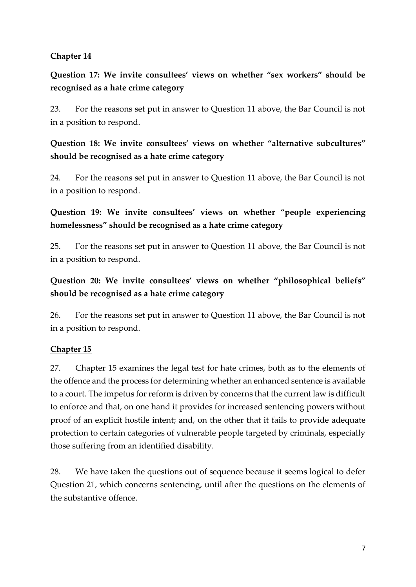### **Chapter 14**

**Question 17: We invite consultees' views on whether "sex workers" should be recognised as a hate crime category**

23. For the reasons set put in answer to Question 11 above, the Bar Council is not in a position to respond.

### **Question 18: We invite consultees' views on whether "alternative subcultures" should be recognised as a hate crime category**

24. For the reasons set put in answer to Question 11 above, the Bar Council is not in a position to respond.

### **Question 19: We invite consultees' views on whether "people experiencing homelessness" should be recognised as a hate crime category**

25. For the reasons set put in answer to Question 11 above, the Bar Council is not in a position to respond.

### **Question 20: We invite consultees' views on whether "philosophical beliefs" should be recognised as a hate crime category**

26. For the reasons set put in answer to Question 11 above, the Bar Council is not in a position to respond.

### **Chapter 15**

27. Chapter 15 examines the legal test for hate crimes, both as to the elements of the offence and the process for determining whether an enhanced sentence is available to a court. The impetus for reform is driven by concerns that the current law is difficult to enforce and that, on one hand it provides for increased sentencing powers without proof of an explicit hostile intent; and, on the other that it fails to provide adequate protection to certain categories of vulnerable people targeted by criminals, especially those suffering from an identified disability.

28. We have taken the questions out of sequence because it seems logical to defer Question 21, which concerns sentencing, until after the questions on the elements of the substantive offence.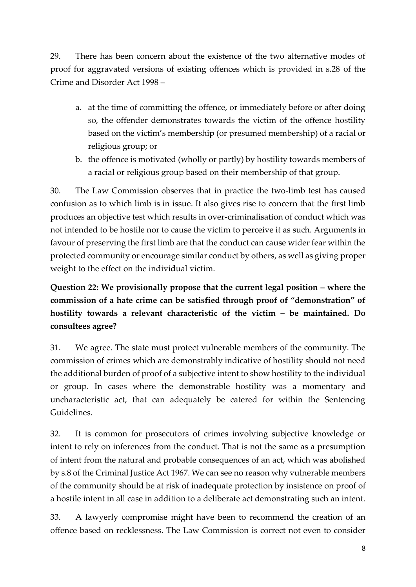29. There has been concern about the existence of the two alternative modes of proof for aggravated versions of existing offences which is provided in s.28 of the Crime and Disorder Act 1998 –

- a. at the time of committing the offence, or immediately before or after doing so, the offender demonstrates towards the victim of the offence hostility based on the victim's membership (or presumed membership) of a racial or religious group; or
- b. the offence is motivated (wholly or partly) by hostility towards members of a racial or religious group based on their membership of that group.

30. The Law Commission observes that in practice the two-limb test has caused confusion as to which limb is in issue. It also gives rise to concern that the first limb produces an objective test which results in over-criminalisation of conduct which was not intended to be hostile nor to cause the victim to perceive it as such. Arguments in favour of preserving the first limb are that the conduct can cause wider fear within the protected community or encourage similar conduct by others, as well as giving proper weight to the effect on the individual victim.

# **Question 22: We provisionally propose that the current legal position – where the commission of a hate crime can be satisfied through proof of "demonstration" of hostility towards a relevant characteristic of the victim – be maintained. Do consultees agree?**

31. We agree. The state must protect vulnerable members of the community. The commission of crimes which are demonstrably indicative of hostility should not need the additional burden of proof of a subjective intent to show hostility to the individual or group. In cases where the demonstrable hostility was a momentary and uncharacteristic act, that can adequately be catered for within the Sentencing Guidelines.

32. It is common for prosecutors of crimes involving subjective knowledge or intent to rely on inferences from the conduct. That is not the same as a presumption of intent from the natural and probable consequences of an act, which was abolished by s.8 of the Criminal Justice Act 1967. We can see no reason why vulnerable members of the community should be at risk of inadequate protection by insistence on proof of a hostile intent in all case in addition to a deliberate act demonstrating such an intent.

33. A lawyerly compromise might have been to recommend the creation of an offence based on recklessness. The Law Commission is correct not even to consider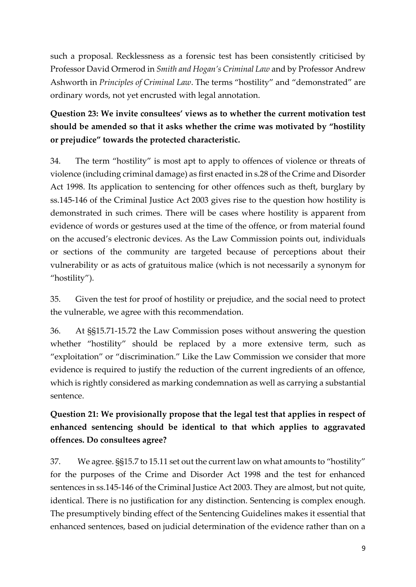such a proposal. Recklessness as a forensic test has been consistently criticised by Professor David Ormerod in *Smith and Hogan's Criminal Law* and by Professor Andrew Ashworth in *Principles of Criminal Law*. The terms "hostility" and "demonstrated" are ordinary words, not yet encrusted with legal annotation.

# **Question 23: We invite consultees' views as to whether the current motivation test should be amended so that it asks whether the crime was motivated by "hostility or prejudice" towards the protected characteristic.**

34. The term "hostility" is most apt to apply to offences of violence or threats of violence (including criminal damage) as first enacted in s.28 of the Crime and Disorder Act 1998. Its application to sentencing for other offences such as theft, burglary by ss.145-146 of the Criminal Justice Act 2003 gives rise to the question how hostility is demonstrated in such crimes. There will be cases where hostility is apparent from evidence of words or gestures used at the time of the offence, or from material found on the accused's electronic devices. As the Law Commission points out, individuals or sections of the community are targeted because of perceptions about their vulnerability or as acts of gratuitous malice (which is not necessarily a synonym for "hostility").

35. Given the test for proof of hostility or prejudice, and the social need to protect the vulnerable, we agree with this recommendation.

36. At §§15.71-15.72 the Law Commission poses without answering the question whether "hostility" should be replaced by a more extensive term, such as "exploitation" or "discrimination." Like the Law Commission we consider that more evidence is required to justify the reduction of the current ingredients of an offence, which is rightly considered as marking condemnation as well as carrying a substantial sentence.

# **Question 21: We provisionally propose that the legal test that applies in respect of enhanced sentencing should be identical to that which applies to aggravated offences. Do consultees agree?**

37. We agree. §§15.7 to 15.11 set out the current law on what amounts to "hostility" for the purposes of the Crime and Disorder Act 1998 and the test for enhanced sentences in ss.145-146 of the Criminal Justice Act 2003. They are almost, but not quite, identical. There is no justification for any distinction. Sentencing is complex enough. The presumptively binding effect of the Sentencing Guidelines makes it essential that enhanced sentences, based on judicial determination of the evidence rather than on a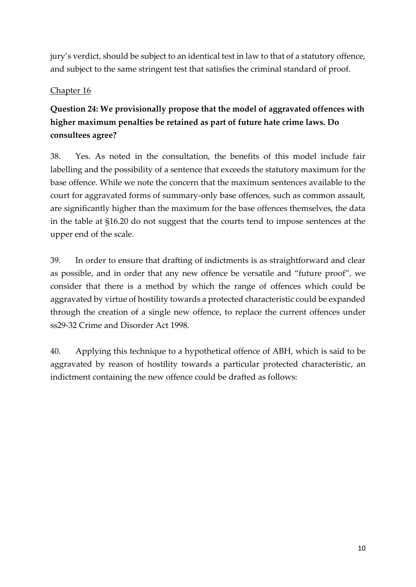jury's verdict, should be subject to an identical test in law to that of a statutory offence, and subject to the same stringent test that satisfies the criminal standard of proof.

### Chapter 16

# **Question 24: We provisionally propose that the model of aggravated offences with higher maximum penalties be retained as part of future hate crime laws. Do consultees agree?**

38. Yes. As noted in the consultation, the benefits of this model include fair labelling and the possibility of a sentence that exceeds the statutory maximum for the base offence. While we note the concern that the maximum sentences available to the court for aggravated forms of summary-only base offences, such as common assault, are significantly higher than the maximum for the base offences themselves, the data in the table at §16.20 do not suggest that the courts tend to impose sentences at the upper end of the scale.

39. In order to ensure that drafting of indictments is as straightforward and clear as possible, and in order that any new offence be versatile and "future proof", we consider that there is a method by which the range of offences which could be aggravated by virtue of hostility towards a protected characteristic could be expanded through the creation of a single new offence, to replace the current offences under ss29-32 Crime and Disorder Act 1998.

40. Applying this technique to a hypothetical offence of ABH, which is said to be aggravated by reason of hostility towards a particular protected characteristic, an indictment containing the new offence could be drafted as follows: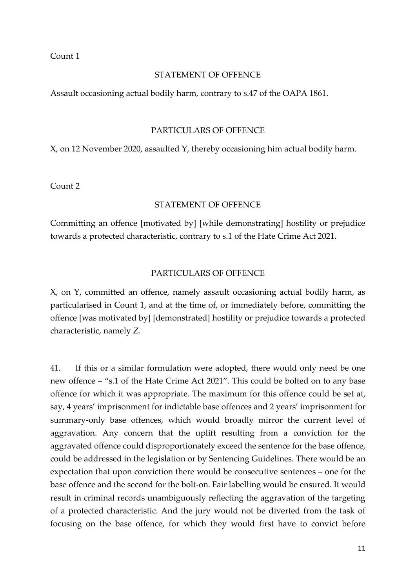#### Count 1

#### STATEMENT OF OFFENCE

Assault occasioning actual bodily harm, contrary to s.47 of the OAPA 1861.

#### PARTICULARS OF OFFENCE

X, on 12 November 2020, assaulted Y, thereby occasioning him actual bodily harm.

Count 2

#### STATEMENT OF OFFENCE

Committing an offence [motivated by] [while demonstrating] hostility or prejudice towards a protected characteristic, contrary to s.1 of the Hate Crime Act 2021.

#### PARTICULARS OF OFFENCE

X, on Y, committed an offence, namely assault occasioning actual bodily harm, as particularised in Count 1, and at the time of, or immediately before, committing the offence [was motivated by] [demonstrated] hostility or prejudice towards a protected characteristic, namely Z.

41. If this or a similar formulation were adopted, there would only need be one new offence – "s.1 of the Hate Crime Act 2021". This could be bolted on to any base offence for which it was appropriate. The maximum for this offence could be set at, say, 4 years' imprisonment for indictable base offences and 2 years' imprisonment for summary-only base offences, which would broadly mirror the current level of aggravation. Any concern that the uplift resulting from a conviction for the aggravated offence could disproportionately exceed the sentence for the base offence, could be addressed in the legislation or by Sentencing Guidelines. There would be an expectation that upon conviction there would be consecutive sentences – one for the base offence and the second for the bolt-on. Fair labelling would be ensured. It would result in criminal records unambiguously reflecting the aggravation of the targeting of a protected characteristic. And the jury would not be diverted from the task of focusing on the base offence, for which they would first have to convict before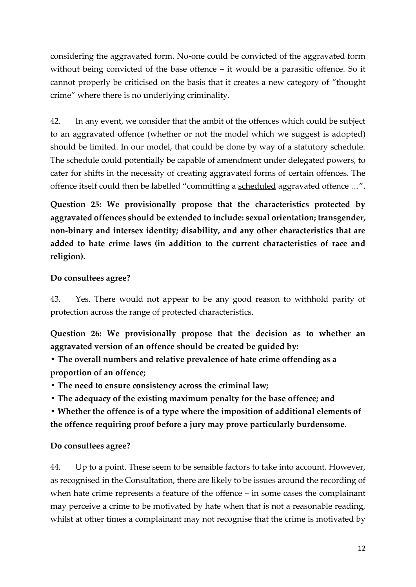considering the aggravated form. No-one could be convicted of the aggravated form without being convicted of the base offence – it would be a parasitic offence. So it cannot properly be criticised on the basis that it creates a new category of "thought crime" where there is no underlying criminality.

42. In any event, we consider that the ambit of the offences which could be subject to an aggravated offence (whether or not the model which we suggest is adopted) should be limited. In our model, that could be done by way of a statutory schedule. The schedule could potentially be capable of amendment under delegated powers, to cater for shifts in the necessity of creating aggravated forms of certain offences. The offence itself could then be labelled "committing a scheduled aggravated offence …".

**Question 25: We provisionally propose that the characteristics protected by aggravated offences should be extended to include: sexual orientation; transgender, non-binary and intersex identity; disability, and any other characteristics that are added to hate crime laws (in addition to the current characteristics of race and religion).**

### **Do consultees agree?**

43. Yes. There would not appear to be any good reason to withhold parity of protection across the range of protected characteristics.

**Question 26: We provisionally propose that the decision as to whether an aggravated version of an offence should be created be guided by:**

**• The overall numbers and relative prevalence of hate crime offending as a proportion of an offence;**

- **The need to ensure consistency across the criminal law;**
- **The adequacy of the existing maximum penalty for the base offence; and**

**• Whether the offence is of a type where the imposition of additional elements of the offence requiring proof before a jury may prove particularly burdensome.**

### **Do consultees agree?**

44. Up to a point. These seem to be sensible factors to take into account. However, as recognised in the Consultation, there are likely to be issues around the recording of when hate crime represents a feature of the offence – in some cases the complainant may perceive a crime to be motivated by hate when that is not a reasonable reading, whilst at other times a complainant may not recognise that the crime is motivated by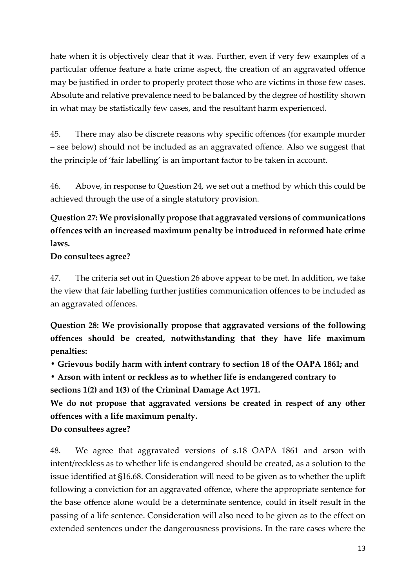hate when it is objectively clear that it was. Further, even if very few examples of a particular offence feature a hate crime aspect, the creation of an aggravated offence may be justified in order to properly protect those who are victims in those few cases. Absolute and relative prevalence need to be balanced by the degree of hostility shown in what may be statistically few cases, and the resultant harm experienced.

45. There may also be discrete reasons why specific offences (for example murder – see below) should not be included as an aggravated offence. Also we suggest that the principle of 'fair labelling' is an important factor to be taken in account.

46. Above, in response to Question 24, we set out a method by which this could be achieved through the use of a single statutory provision.

## **Question 27: We provisionally propose that aggravated versions of communications offences with an increased maximum penalty be introduced in reformed hate crime laws.**

### **Do consultees agree?**

47. The criteria set out in Question 26 above appear to be met. In addition, we take the view that fair labelling further justifies communication offences to be included as an aggravated offences.

**Question 28: We provisionally propose that aggravated versions of the following offences should be created, notwithstanding that they have life maximum penalties:**

**• Grievous bodily harm with intent contrary to section 18 of the OAPA 1861; and**

**• Arson with intent or reckless as to whether life is endangered contrary to sections 1(2) and 1(3) of the Criminal Damage Act 1971.**

**We do not propose that aggravated versions be created in respect of any other offences with a life maximum penalty.**

**Do consultees agree?**

48. We agree that aggravated versions of s.18 OAPA 1861 and arson with intent/reckless as to whether life is endangered should be created, as a solution to the issue identified at §16.68. Consideration will need to be given as to whether the uplift following a conviction for an aggravated offence, where the appropriate sentence for the base offence alone would be a determinate sentence, could in itself result in the passing of a life sentence. Consideration will also need to be given as to the effect on extended sentences under the dangerousness provisions. In the rare cases where the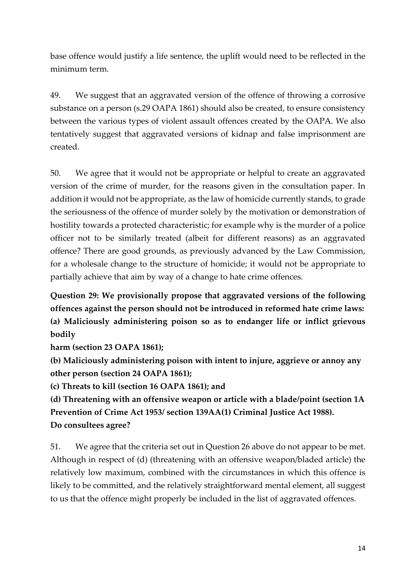base offence would justify a life sentence, the uplift would need to be reflected in the minimum term.

49. We suggest that an aggravated version of the offence of throwing a corrosive substance on a person (s.29 OAPA 1861) should also be created, to ensure consistency between the various types of violent assault offences created by the OAPA. We also tentatively suggest that aggravated versions of kidnap and false imprisonment are created.

50. We agree that it would not be appropriate or helpful to create an aggravated version of the crime of murder, for the reasons given in the consultation paper. In addition it would not be appropriate, as the law of homicide currently stands, to grade the seriousness of the offence of murder solely by the motivation or demonstration of hostility towards a protected characteristic; for example why is the murder of a police officer not to be similarly treated (albeit for different reasons) as an aggravated offence? There are good grounds, as previously advanced by the Law Commission, for a wholesale change to the structure of homicide; it would not be appropriate to partially achieve that aim by way of a change to hate crime offences.

**Question 29: We provisionally propose that aggravated versions of the following offences against the person should not be introduced in reformed hate crime laws: (a) Maliciously administering poison so as to endanger life or inflict grievous bodily**

**harm (section 23 OAPA 1861);**

**(b) Maliciously administering poison with intent to injure, aggrieve or annoy any other person (section 24 OAPA 1861);**

**(c) Threats to kill (section 16 OAPA 1861); and**

**(d) Threatening with an offensive weapon or article with a blade/point (section 1A Prevention of Crime Act 1953/ section 139AA(1) Criminal Justice Act 1988). Do consultees agree?**

51. We agree that the criteria set out in Question 26 above do not appear to be met. Although in respect of (d) (threatening with an offensive weapon/bladed article) the relatively low maximum, combined with the circumstances in which this offence is likely to be committed, and the relatively straightforward mental element, all suggest to us that the offence might properly be included in the list of aggravated offences.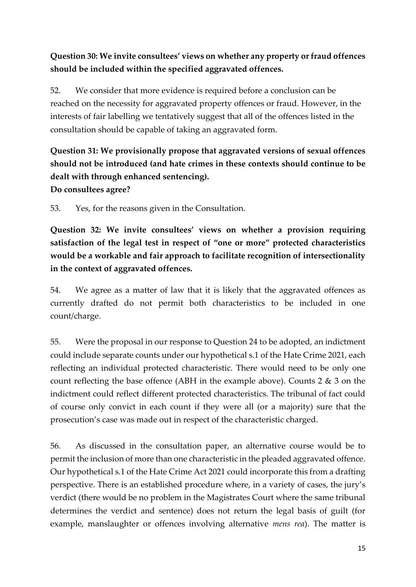### **Question 30: We invite consultees' views on whether any property or fraud offences should be included within the specified aggravated offences.**

52. We consider that more evidence is required before a conclusion can be reached on the necessity for aggravated property offences or fraud. However, in the interests of fair labelling we tentatively suggest that all of the offences listed in the consultation should be capable of taking an aggravated form.

# **Question 31: We provisionally propose that aggravated versions of sexual offences should not be introduced (and hate crimes in these contexts should continue to be dealt with through enhanced sentencing). Do consultees agree?**

53. Yes, for the reasons given in the Consultation.

**Question 32: We invite consultees' views on whether a provision requiring satisfaction of the legal test in respect of "one or more" protected characteristics would be a workable and fair approach to facilitate recognition of intersectionality in the context of aggravated offences.**

54. We agree as a matter of law that it is likely that the aggravated offences as currently drafted do not permit both characteristics to be included in one count/charge.

55. Were the proposal in our response to Question 24 to be adopted, an indictment could include separate counts under our hypothetical s.1 of the Hate Crime 2021, each reflecting an individual protected characteristic. There would need to be only one count reflecting the base offence (ABH in the example above). Counts 2 & 3 on the indictment could reflect different protected characteristics. The tribunal of fact could of course only convict in each count if they were all (or a majority) sure that the prosecution's case was made out in respect of the characteristic charged.

56. As discussed in the consultation paper, an alternative course would be to permit the inclusion of more than one characteristic in the pleaded aggravated offence. Our hypothetical s.1 of the Hate Crime Act 2021 could incorporate this from a drafting perspective. There is an established procedure where, in a variety of cases, the jury's verdict (there would be no problem in the Magistrates Court where the same tribunal determines the verdict and sentence) does not return the legal basis of guilt (for example, manslaughter or offences involving alternative *mens rea*). The matter is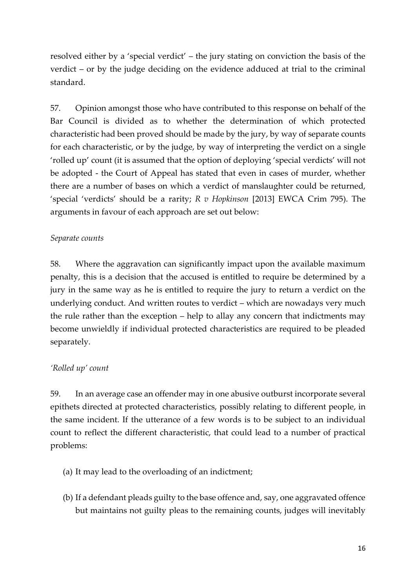resolved either by a 'special verdict' – the jury stating on conviction the basis of the verdict – or by the judge deciding on the evidence adduced at trial to the criminal standard.

57. Opinion amongst those who have contributed to this response on behalf of the Bar Council is divided as to whether the determination of which protected characteristic had been proved should be made by the jury, by way of separate counts for each characteristic, or by the judge, by way of interpreting the verdict on a single 'rolled up' count (it is assumed that the option of deploying 'special verdicts' will not be adopted - the Court of Appeal has stated that even in cases of murder, whether there are a number of bases on which a verdict of manslaughter could be returned, 'special 'verdicts' should be a rarity; *R v Hopkinson* [2013] EWCA Crim 795). The arguments in favour of each approach are set out below:

#### *Separate counts*

58. Where the aggravation can significantly impact upon the available maximum penalty, this is a decision that the accused is entitled to require be determined by a jury in the same way as he is entitled to require the jury to return a verdict on the underlying conduct. And written routes to verdict – which are nowadays very much the rule rather than the exception – help to allay any concern that indictments may become unwieldly if individual protected characteristics are required to be pleaded separately.

#### *'Rolled up' count*

59. In an average case an offender may in one abusive outburst incorporate several epithets directed at protected characteristics, possibly relating to different people, in the same incident. If the utterance of a few words is to be subject to an individual count to reflect the different characteristic, that could lead to a number of practical problems:

- (a) It may lead to the overloading of an indictment;
- (b) If a defendant pleads guilty to the base offence and, say, one aggravated offence but maintains not guilty pleas to the remaining counts, judges will inevitably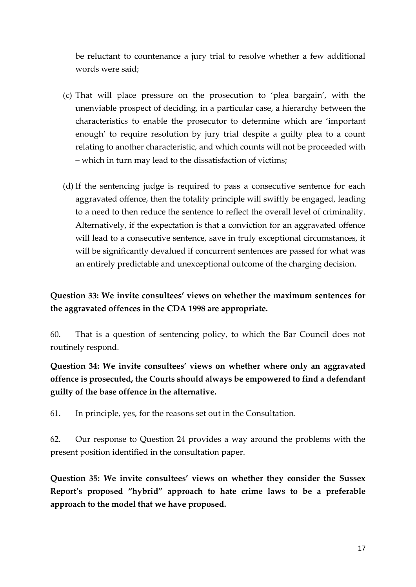be reluctant to countenance a jury trial to resolve whether a few additional words were said;

- (c) That will place pressure on the prosecution to 'plea bargain', with the unenviable prospect of deciding, in a particular case, a hierarchy between the characteristics to enable the prosecutor to determine which are 'important enough' to require resolution by jury trial despite a guilty plea to a count relating to another characteristic, and which counts will not be proceeded with – which in turn may lead to the dissatisfaction of victims;
- (d) If the sentencing judge is required to pass a consecutive sentence for each aggravated offence, then the totality principle will swiftly be engaged, leading to a need to then reduce the sentence to reflect the overall level of criminality. Alternatively, if the expectation is that a conviction for an aggravated offence will lead to a consecutive sentence, save in truly exceptional circumstances, it will be significantly devalued if concurrent sentences are passed for what was an entirely predictable and unexceptional outcome of the charging decision.

### **Question 33: We invite consultees' views on whether the maximum sentences for the aggravated offences in the CDA 1998 are appropriate.**

60. That is a question of sentencing policy, to which the Bar Council does not routinely respond.

**Question 34: We invite consultees' views on whether where only an aggravated offence is prosecuted, the Courts should always be empowered to find a defendant guilty of the base offence in the alternative.**

61. In principle, yes, for the reasons set out in the Consultation.

62. Our response to Question 24 provides a way around the problems with the present position identified in the consultation paper.

**Question 35: We invite consultees' views on whether they consider the Sussex Report's proposed "hybrid" approach to hate crime laws to be a preferable approach to the model that we have proposed.**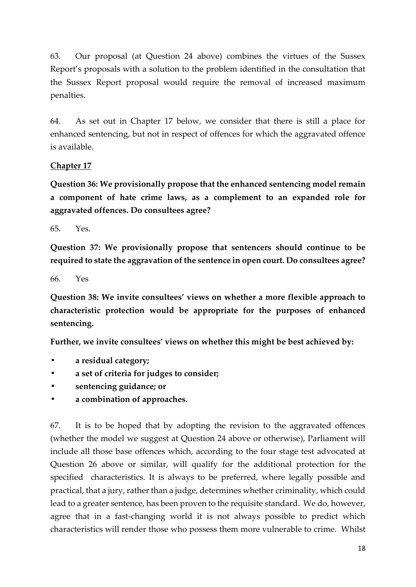63. Our proposal (at Question 24 above) combines the virtues of the Sussex Report's proposals with a solution to the problem identified in the consultation that the Sussex Report proposal would require the removal of increased maximum penalties.

64. As set out in Chapter 17 below, we consider that there is still a place for enhanced sentencing, but not in respect of offences for which the aggravated offence is available.

### **Chapter 17**

**Question 36: We provisionally propose that the enhanced sentencing model remain a component of hate crime laws, as a complement to an expanded role for aggravated offences. Do consultees agree?** 

65. Yes.

**Question 37: We provisionally propose that sentencers should continue to be required to state the aggravation of the sentence in open court. Do consultees agree?**

66. Yes

**Question 38: We invite consultees' views on whether a more flexible approach to characteristic protection would be appropriate for the purposes of enhanced sentencing.** 

**Further, we invite consultees' views on whether this might be best achieved by:**

- **• a residual category;**
- **• a set of criteria for judges to consider;**
- **• sentencing guidance; or**
- **• a combination of approaches.**

67. It is to be hoped that by adopting the revision to the aggravated offences (whether the model we suggest at Question 24 above or otherwise), Parliament will include all those base offences which, according to the four stage test advocated at Question 26 above or similar, will qualify for the additional protection for the specified characteristics. It is always to be preferred, where legally possible and practical, that a jury, rather than a judge, determines whether criminality, which could lead to a greater sentence, has been proven to the requisite standard. We do, however, agree that in a fast-changing world it is not always possible to predict which characteristics will render those who possess them more vulnerable to crime. Whilst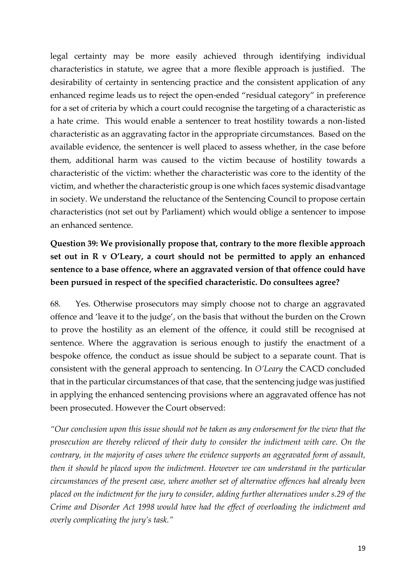legal certainty may be more easily achieved through identifying individual characteristics in statute, we agree that a more flexible approach is justified. The desirability of certainty in sentencing practice and the consistent application of any enhanced regime leads us to reject the open-ended "residual category" in preference for a set of criteria by which a court could recognise the targeting of a characteristic as a hate crime. This would enable a sentencer to treat hostility towards a non-listed characteristic as an aggravating factor in the appropriate circumstances. Based on the available evidence, the sentencer is well placed to assess whether, in the case before them, additional harm was caused to the victim because of hostility towards a characteristic of the victim: whether the characteristic was core to the identity of the victim, and whether the characteristic group is one which faces systemic disadvantage in society. We understand the reluctance of the Sentencing Council to propose certain characteristics (not set out by Parliament) which would oblige a sentencer to impose an enhanced sentence.

## **Question 39: We provisionally propose that, contrary to the more flexible approach set out in R v O'Leary, a court should not be permitted to apply an enhanced sentence to a base offence, where an aggravated version of that offence could have been pursued in respect of the specified characteristic. Do consultees agree?**

68. Yes. Otherwise prosecutors may simply choose not to charge an aggravated offence and 'leave it to the judge', on the basis that without the burden on the Crown to prove the hostility as an element of the offence, it could still be recognised at sentence. Where the aggravation is serious enough to justify the enactment of a bespoke offence, the conduct as issue should be subject to a separate count. That is consistent with the general approach to sentencing. In *O'Leary* the CACD concluded that in the particular circumstances of that case, that the sentencing judge was justified in applying the enhanced sentencing provisions where an aggravated offence has not been prosecuted. However the Court observed:

*"Our conclusion upon this issue should not be taken as any endorsement for the view that the prosecution are thereby relieved of their duty to consider the indictment with care. On the contrary, in the majority of cases where the evidence supports an aggravated form of assault, then it should be placed upon the indictment. However we can understand in the particular circumstances of the present case, where another set of alternative offences had already been placed on the indictment for the jury to consider, adding further alternatives under s.29 of the Crime and Disorder Act 1998 would have had the effect of overloading the indictment and overly complicating the jury's task."*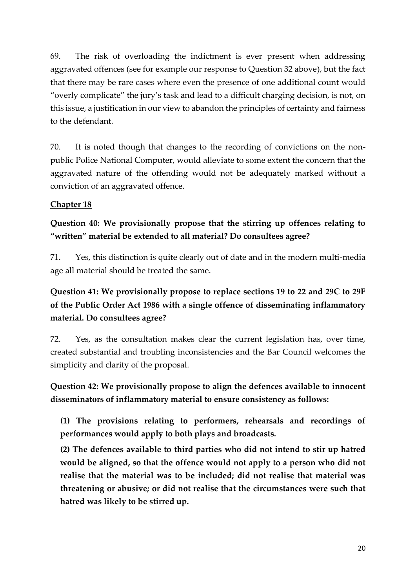69. The risk of overloading the indictment is ever present when addressing aggravated offences (see for example our response to Question 32 above), but the fact that there may be rare cases where even the presence of one additional count would "overly complicate" the jury's task and lead to a difficult charging decision, is not, on this issue, a justification in our view to abandon the principles of certainty and fairness to the defendant.

70. It is noted though that changes to the recording of convictions on the nonpublic Police National Computer, would alleviate to some extent the concern that the aggravated nature of the offending would not be adequately marked without a conviction of an aggravated offence.

### **Chapter 18**

## **Question 40: We provisionally propose that the stirring up offences relating to "written" material be extended to all material? Do consultees agree?**

71. Yes, this distinction is quite clearly out of date and in the modern multi-media age all material should be treated the same.

# **Question 41: We provisionally propose to replace sections 19 to 22 and 29C to 29F of the Public Order Act 1986 with a single offence of disseminating inflammatory material. Do consultees agree?**

72. Yes, as the consultation makes clear the current legislation has, over time, created substantial and troubling inconsistencies and the Bar Council welcomes the simplicity and clarity of the proposal.

# **Question 42: We provisionally propose to align the defences available to innocent disseminators of inflammatory material to ensure consistency as follows:**

**(1) The provisions relating to performers, rehearsals and recordings of performances would apply to both plays and broadcasts.**

**(2) The defences available to third parties who did not intend to stir up hatred would be aligned, so that the offence would not apply to a person who did not realise that the material was to be included; did not realise that material was threatening or abusive; or did not realise that the circumstances were such that hatred was likely to be stirred up.**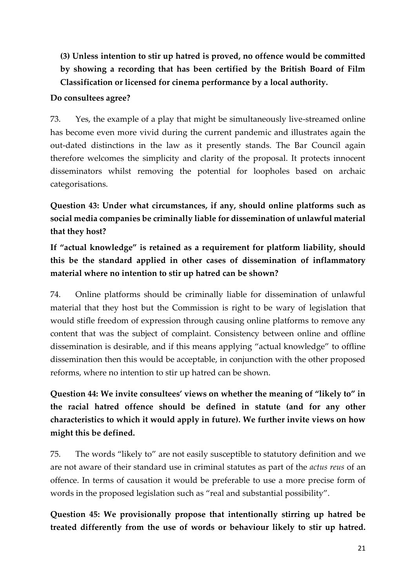# **(3) Unless intention to stir up hatred is proved, no offence would be committed by showing a recording that has been certified by the British Board of Film Classification or licensed for cinema performance by a local authority.**

### **Do consultees agree?**

73. Yes, the example of a play that might be simultaneously live-streamed online has become even more vivid during the current pandemic and illustrates again the out-dated distinctions in the law as it presently stands. The Bar Council again therefore welcomes the simplicity and clarity of the proposal. It protects innocent disseminators whilst removing the potential for loopholes based on archaic categorisations.

**Question 43: Under what circumstances, if any, should online platforms such as social media companies be criminally liable for dissemination of unlawful material that they host?**

**If "actual knowledge" is retained as a requirement for platform liability, should this be the standard applied in other cases of dissemination of inflammatory material where no intention to stir up hatred can be shown?**

74. Online platforms should be criminally liable for dissemination of unlawful material that they host but the Commission is right to be wary of legislation that would stifle freedom of expression through causing online platforms to remove any content that was the subject of complaint. Consistency between online and offline dissemination is desirable, and if this means applying "actual knowledge" to offline dissemination then this would be acceptable, in conjunction with the other proposed reforms, where no intention to stir up hatred can be shown.

**Question 44: We invite consultees' views on whether the meaning of "likely to" in the racial hatred offence should be defined in statute (and for any other characteristics to which it would apply in future). We further invite views on how might this be defined.**

75. The words "likely to" are not easily susceptible to statutory definition and we are not aware of their standard use in criminal statutes as part of the *actus reus* of an offence. In terms of causation it would be preferable to use a more precise form of words in the proposed legislation such as "real and substantial possibility".

**Question 45: We provisionally propose that intentionally stirring up hatred be treated differently from the use of words or behaviour likely to stir up hatred.**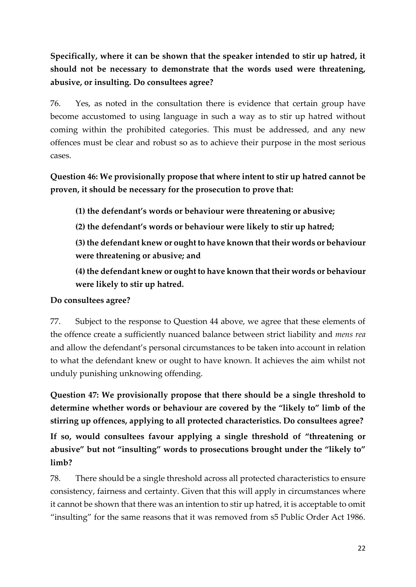**Specifically, where it can be shown that the speaker intended to stir up hatred, it should not be necessary to demonstrate that the words used were threatening, abusive, or insulting. Do consultees agree?**

76. Yes, as noted in the consultation there is evidence that certain group have become accustomed to using language in such a way as to stir up hatred without coming within the prohibited categories. This must be addressed, and any new offences must be clear and robust so as to achieve their purpose in the most serious cases.

**Question 46: We provisionally propose that where intent to stir up hatred cannot be proven, it should be necessary for the prosecution to prove that:**

**(1) the defendant's words or behaviour were threatening or abusive;**

**(2) the defendant's words or behaviour were likely to stir up hatred;**

**(3) the defendant knew or ought to have known that their words or behaviour were threatening or abusive; and**

**(4) the defendant knew or ought to have known that their words or behaviour were likely to stir up hatred.**

### **Do consultees agree?**

77. Subject to the response to Question 44 above, we agree that these elements of the offence create a sufficiently nuanced balance between strict liability and *mens rea* and allow the defendant's personal circumstances to be taken into account in relation to what the defendant knew or ought to have known. It achieves the aim whilst not unduly punishing unknowing offending.

**Question 47: We provisionally propose that there should be a single threshold to determine whether words or behaviour are covered by the "likely to" limb of the stirring up offences, applying to all protected characteristics. Do consultees agree?**

**If so, would consultees favour applying a single threshold of "threatening or abusive" but not "insulting" words to prosecutions brought under the "likely to" limb?**

78. There should be a single threshold across all protected characteristics to ensure consistency, fairness and certainty. Given that this will apply in circumstances where it cannot be shown that there was an intention to stir up hatred, it is acceptable to omit "insulting" for the same reasons that it was removed from s5 Public Order Act 1986.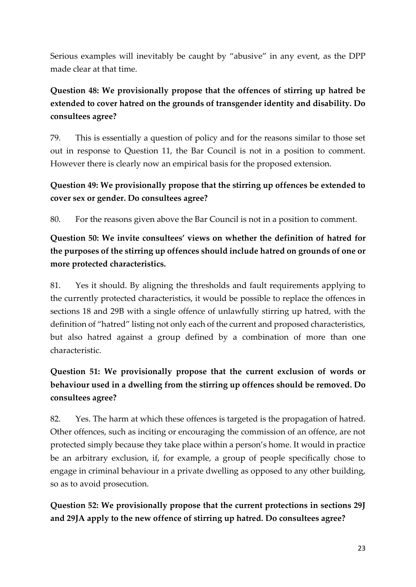Serious examples will inevitably be caught by "abusive" in any event, as the DPP made clear at that time.

# **Question 48: We provisionally propose that the offences of stirring up hatred be extended to cover hatred on the grounds of transgender identity and disability. Do consultees agree?**

79. This is essentially a question of policy and for the reasons similar to those set out in response to Question 11, the Bar Council is not in a position to comment. However there is clearly now an empirical basis for the proposed extension.

### **Question 49: We provisionally propose that the stirring up offences be extended to cover sex or gender. Do consultees agree?**

80. For the reasons given above the Bar Council is not in a position to comment.

**Question 50: We invite consultees' views on whether the definition of hatred for the purposes of the stirring up offences should include hatred on grounds of one or more protected characteristics.**

81. Yes it should. By aligning the thresholds and fault requirements applying to the currently protected characteristics, it would be possible to replace the offences in sections 18 and 29B with a single offence of unlawfully stirring up hatred, with the definition of "hatred" listing not only each of the current and proposed characteristics, but also hatred against a group defined by a combination of more than one characteristic.

# **Question 51: We provisionally propose that the current exclusion of words or behaviour used in a dwelling from the stirring up offences should be removed. Do consultees agree?**

82. Yes. The harm at which these offences is targeted is the propagation of hatred. Other offences, such as inciting or encouraging the commission of an offence, are not protected simply because they take place within a person's home. It would in practice be an arbitrary exclusion, if, for example, a group of people specifically chose to engage in criminal behaviour in a private dwelling as opposed to any other building, so as to avoid prosecution.

**Question 52: We provisionally propose that the current protections in sections 29J and 29JA apply to the new offence of stirring up hatred. Do consultees agree?**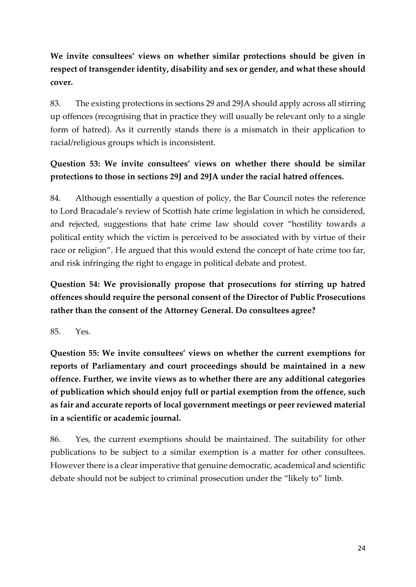# **We invite consultees' views on whether similar protections should be given in respect of transgender identity, disability and sex or gender, and what these should cover.**

83. The existing protections in sections 29 and 29JA should apply across all stirring up offences (recognising that in practice they will usually be relevant only to a single form of hatred). As it currently stands there is a mismatch in their application to racial/religious groups which is inconsistent.

## **Question 53: We invite consultees' views on whether there should be similar protections to those in sections 29J and 29JA under the racial hatred offences.**

84. Although essentially a question of policy, the Bar Council notes the reference to Lord Bracadale's review of Scottish hate crime legislation in which he considered, and rejected, suggestions that hate crime law should cover "hostility towards a political entity which the victim is perceived to be associated with by virtue of their race or religion". He argued that this would extend the concept of hate crime too far, and risk infringing the right to engage in political debate and protest.

**Question 54: We provisionally propose that prosecutions for stirring up hatred offences should require the personal consent of the Director of Public Prosecutions rather than the consent of the Attorney General. Do consultees agree?**

85. Yes.

**Question 55: We invite consultees' views on whether the current exemptions for reports of Parliamentary and court proceedings should be maintained in a new offence. Further, we invite views as to whether there are any additional categories of publication which should enjoy full or partial exemption from the offence, such as fair and accurate reports of local government meetings or peer reviewed material in a scientific or academic journal.**

86. Yes, the current exemptions should be maintained. The suitability for other publications to be subject to a similar exemption is a matter for other consultees. However there is a clear imperative that genuine democratic, academical and scientific debate should not be subject to criminal prosecution under the "likely to" limb.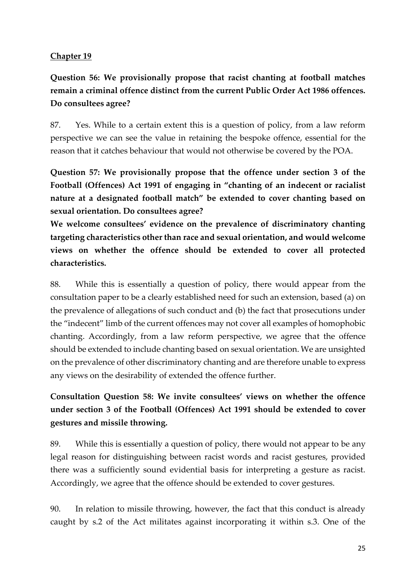### **Chapter 19**

**Question 56: We provisionally propose that racist chanting at football matches remain a criminal offence distinct from the current Public Order Act 1986 offences. Do consultees agree?**

87. Yes. While to a certain extent this is a question of policy, from a law reform perspective we can see the value in retaining the bespoke offence, essential for the reason that it catches behaviour that would not otherwise be covered by the POA.

**Question 57: We provisionally propose that the offence under section 3 of the Football (Offences) Act 1991 of engaging in "chanting of an indecent or racialist nature at a designated football match" be extended to cover chanting based on sexual orientation. Do consultees agree?**

**We welcome consultees' evidence on the prevalence of discriminatory chanting targeting characteristics other than race and sexual orientation, and would welcome views on whether the offence should be extended to cover all protected characteristics.**

88. While this is essentially a question of policy, there would appear from the consultation paper to be a clearly established need for such an extension, based (a) on the prevalence of allegations of such conduct and (b) the fact that prosecutions under the "indecent" limb of the current offences may not cover all examples of homophobic chanting. Accordingly, from a law reform perspective, we agree that the offence should be extended to include chanting based on sexual orientation. We are unsighted on the prevalence of other discriminatory chanting and are therefore unable to express any views on the desirability of extended the offence further.

# **Consultation Question 58: We invite consultees' views on whether the offence under section 3 of the Football (Offences) Act 1991 should be extended to cover gestures and missile throwing.**

89. While this is essentially a question of policy, there would not appear to be any legal reason for distinguishing between racist words and racist gestures, provided there was a sufficiently sound evidential basis for interpreting a gesture as racist. Accordingly, we agree that the offence should be extended to cover gestures.

90. In relation to missile throwing, however, the fact that this conduct is already caught by s.2 of the Act militates against incorporating it within s.3. One of the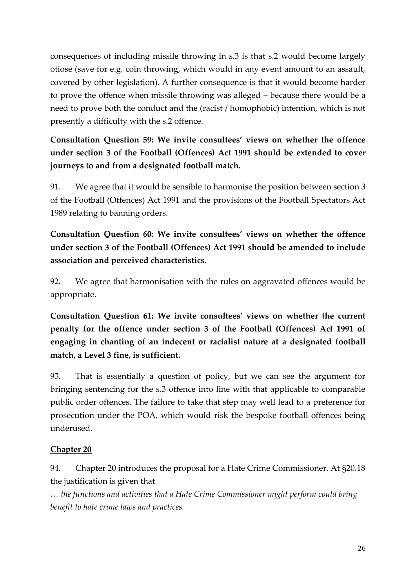consequences of including missile throwing in s.3 is that s.2 would become largely otiose (save for e.g. coin throwing, which would in any event amount to an assault, covered by other legislation). A further consequence is that it would become harder to prove the offence when missile throwing was alleged – because there would be a need to prove both the conduct and the (racist / homophobic) intention, which is not presently a difficulty with the s.2 offence.

# **Consultation Question 59: We invite consultees' views on whether the offence under section 3 of the Football (Offences) Act 1991 should be extended to cover journeys to and from a designated football match.**

91. We agree that it would be sensible to harmonise the position between section 3 of the Football (Offences) Act 1991 and the provisions of the Football Spectators Act 1989 relating to banning orders.

**Consultation Question 60: We invite consultees' views on whether the offence under section 3 of the Football (Offences) Act 1991 should be amended to include association and perceived characteristics.**

92. We agree that harmonisation with the rules on aggravated offences would be appropriate.

**Consultation Question 61: We invite consultees' views on whether the current penalty for the offence under section 3 of the Football (Offences) Act 1991 of engaging in chanting of an indecent or racialist nature at a designated football match, a Level 3 fine, is sufficient.**

93. That is essentially a question of policy, but we can see the argument for bringing sentencing for the s.3 offence into line with that applicable to comparable public order offences. The failure to take that step may well lead to a preference for prosecution under the POA, which would risk the bespoke football offences being underused.

### **Chapter 20**

94. Chapter 20 introduces the proposal for a Hate Crime Commissioner. At §20.18 the justification is given that

*… the functions and activities that a Hate Crime Commissioner might perform could bring benefit to hate crime laws and practices.*